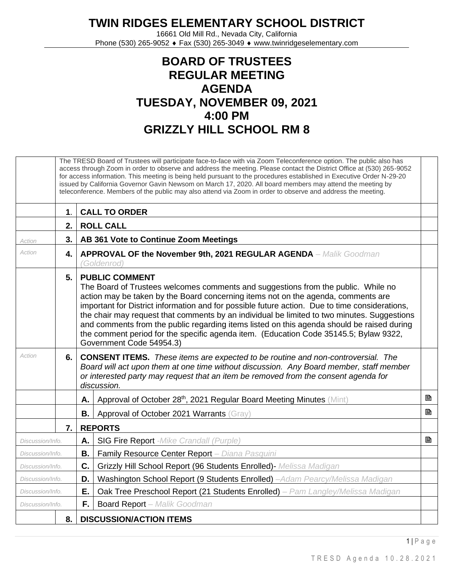## **TWIN RIDGES ELEMENTARY SCHOOL DISTRICT**

16661 Old Mill Rd., Nevada City, California Phone (530) 265-9052 ♦ Fax (530) 265-3049 ♦ www.twinridgeselementary.com

## **BOARD OF TRUSTEES REGULAR MEETING AGENDA TUESDAY, NOVEMBER 09, 2021 4:00 PM GRIZZLY HILL SCHOOL RM 8**

|                  | The TRESD Board of Trustees will participate face-to-face with via Zoom Teleconference option. The public also has<br>access through Zoom in order to observe and address the meeting. Please contact the District Office at (530) 265-9052<br>for access information. This meeting is being held pursuant to the procedures established in Executive Order N-29-20<br>issued by California Governor Gavin Newsom on March 17, 2020. All board members may attend the meeting by<br>teleconference. Members of the public may also attend via Zoom in order to observe and address the meeting. |                                                                                                                                                                                                                                                                                                                                                                                                                                                                                                                                                                                                                     |                                                                                         |   |
|------------------|-------------------------------------------------------------------------------------------------------------------------------------------------------------------------------------------------------------------------------------------------------------------------------------------------------------------------------------------------------------------------------------------------------------------------------------------------------------------------------------------------------------------------------------------------------------------------------------------------|---------------------------------------------------------------------------------------------------------------------------------------------------------------------------------------------------------------------------------------------------------------------------------------------------------------------------------------------------------------------------------------------------------------------------------------------------------------------------------------------------------------------------------------------------------------------------------------------------------------------|-----------------------------------------------------------------------------------------|---|
|                  | 1.                                                                                                                                                                                                                                                                                                                                                                                                                                                                                                                                                                                              |                                                                                                                                                                                                                                                                                                                                                                                                                                                                                                                                                                                                                     | <b>CALL TO ORDER</b>                                                                    |   |
|                  | 2.                                                                                                                                                                                                                                                                                                                                                                                                                                                                                                                                                                                              |                                                                                                                                                                                                                                                                                                                                                                                                                                                                                                                                                                                                                     | <b>ROLL CALL</b>                                                                        |   |
| Action           | 3.                                                                                                                                                                                                                                                                                                                                                                                                                                                                                                                                                                                              |                                                                                                                                                                                                                                                                                                                                                                                                                                                                                                                                                                                                                     | AB 361 Vote to Continue Zoom Meetings                                                   |   |
| Action           | 4.                                                                                                                                                                                                                                                                                                                                                                                                                                                                                                                                                                                              |                                                                                                                                                                                                                                                                                                                                                                                                                                                                                                                                                                                                                     | <b>APPROVAL OF the November 9th, 2021 REGULAR AGENDA - Malik Goodman</b><br>(Goldenrod) |   |
|                  | 5.                                                                                                                                                                                                                                                                                                                                                                                                                                                                                                                                                                                              | <b>PUBLIC COMMENT</b><br>The Board of Trustees welcomes comments and suggestions from the public. While no<br>action may be taken by the Board concerning items not on the agenda, comments are<br>important for District information and for possible future action. Due to time considerations,<br>the chair may request that comments by an individual be limited to two minutes. Suggestions<br>and comments from the public regarding items listed on this agenda should be raised during<br>the comment period for the specific agenda item. (Education Code 35145.5; Bylaw 9322,<br>Government Code 54954.3) |                                                                                         |   |
| Action           | 6.                                                                                                                                                                                                                                                                                                                                                                                                                                                                                                                                                                                              | <b>CONSENT ITEMS.</b> These items are expected to be routine and non-controversial. The<br>Board will act upon them at one time without discussion. Any Board member, staff member<br>or interested party may request that an item be removed from the consent agenda for<br>discussion.                                                                                                                                                                                                                                                                                                                            |                                                                                         |   |
|                  |                                                                                                                                                                                                                                                                                                                                                                                                                                                                                                                                                                                                 | Α.                                                                                                                                                                                                                                                                                                                                                                                                                                                                                                                                                                                                                  | Approval of October 28th, 2021 Regular Board Meeting Minutes (Mint)                     | B |
|                  |                                                                                                                                                                                                                                                                                                                                                                                                                                                                                                                                                                                                 | В.                                                                                                                                                                                                                                                                                                                                                                                                                                                                                                                                                                                                                  | Approval of October 2021 Warrants (Gray)                                                | B |
|                  | 7.                                                                                                                                                                                                                                                                                                                                                                                                                                                                                                                                                                                              |                                                                                                                                                                                                                                                                                                                                                                                                                                                                                                                                                                                                                     | <b>REPORTS</b>                                                                          |   |
| Discussion/Info. |                                                                                                                                                                                                                                                                                                                                                                                                                                                                                                                                                                                                 | А.                                                                                                                                                                                                                                                                                                                                                                                                                                                                                                                                                                                                                  | <b>SIG Fire Report</b> - Mike Crandall (Purple)                                         | 昏 |
| Discussion/Info. |                                                                                                                                                                                                                                                                                                                                                                                                                                                                                                                                                                                                 | Β.                                                                                                                                                                                                                                                                                                                                                                                                                                                                                                                                                                                                                  | Family Resource Center Report - Diana Pasquini                                          |   |
| Discussion/Info. |                                                                                                                                                                                                                                                                                                                                                                                                                                                                                                                                                                                                 | C.                                                                                                                                                                                                                                                                                                                                                                                                                                                                                                                                                                                                                  | Grizzly Hill School Report (96 Students Enrolled) - Melissa Madigan                     |   |
| Discussion/Info. |                                                                                                                                                                                                                                                                                                                                                                                                                                                                                                                                                                                                 | D.                                                                                                                                                                                                                                                                                                                                                                                                                                                                                                                                                                                                                  | Washington School Report (9 Students Enrolled) -Adam Pearcy/Melissa Madigan             |   |
| Discussion/Info. |                                                                                                                                                                                                                                                                                                                                                                                                                                                                                                                                                                                                 | Е.                                                                                                                                                                                                                                                                                                                                                                                                                                                                                                                                                                                                                  | Oak Tree Preschool Report (21 Students Enrolled) - Pam Langley/Melissa Madigan          |   |
| Discussion/Info. |                                                                                                                                                                                                                                                                                                                                                                                                                                                                                                                                                                                                 | F.                                                                                                                                                                                                                                                                                                                                                                                                                                                                                                                                                                                                                  | <b>Board Report</b> - Malik Goodman                                                     |   |
|                  | 8.<br><b>DISCUSSION/ACTION ITEMS</b>                                                                                                                                                                                                                                                                                                                                                                                                                                                                                                                                                            |                                                                                                                                                                                                                                                                                                                                                                                                                                                                                                                                                                                                                     |                                                                                         |   |